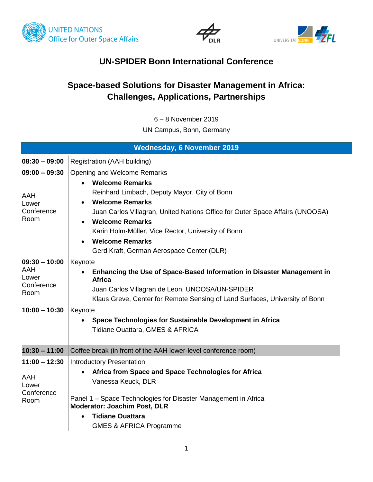





## **UN-SPIDER Bonn International Conference**

## **Space-based Solutions for Disaster Management in Africa: Challenges, Applications, Partnerships**

6 – 8 November 2019

UN Campus, Bonn, Germany

|                                                                          | <b>Wednesday, 6 November 2019</b>                                                                                                                                                                                                                                                                                                                                       |
|--------------------------------------------------------------------------|-------------------------------------------------------------------------------------------------------------------------------------------------------------------------------------------------------------------------------------------------------------------------------------------------------------------------------------------------------------------------|
| $08:30 - 09:00$                                                          | Registration (AAH building)                                                                                                                                                                                                                                                                                                                                             |
| $09:00 - 09:30$<br>AAH<br>Lower<br>Conference<br>Room                    | Opening and Welcome Remarks<br><b>Welcome Remarks</b><br>Reinhard Limbach, Deputy Mayor, City of Bonn<br><b>Welcome Remarks</b><br>Juan Carlos Villagran, United Nations Office for Outer Space Affairs (UNOOSA)<br><b>Welcome Remarks</b><br>Karin Holm-Müller, Vice Rector, University of Bonn<br><b>Welcome Remarks</b><br>Gerd Kraft, German Aerospace Center (DLR) |
| $09:30 - 10:00$<br>AAH<br>Lower<br>Conference<br>Room<br>$10:00 - 10:30$ | Keynote<br>Enhancing the Use of Space-Based Information in Disaster Management in<br><b>Africa</b><br>Juan Carlos Villagran de Leon, UNOOSA/UN-SPIDER<br>Klaus Greve, Center for Remote Sensing of Land Surfaces, University of Bonn<br>Keynote<br>Space Technologies for Sustainable Development in Africa<br>Tidiane Ouattara, GMES & AFRICA                          |
| $10:30 - 11:00$                                                          | Coffee break (in front of the AAH lower-level conference room)                                                                                                                                                                                                                                                                                                          |
| $11:00 - 12:30$<br>AAH<br>Lower<br>Conference<br>Room                    | <b>Introductory Presentation</b><br>Africa from Space and Space Technologies for Africa<br>Vanessa Keuck, DLR<br>Panel 1 - Space Technologies for Disaster Management in Africa<br><b>Moderator: Joachim Post, DLR</b><br><b>Tidiane Ouattara</b><br><b>GMES &amp; AFRICA Programme</b>                                                                                 |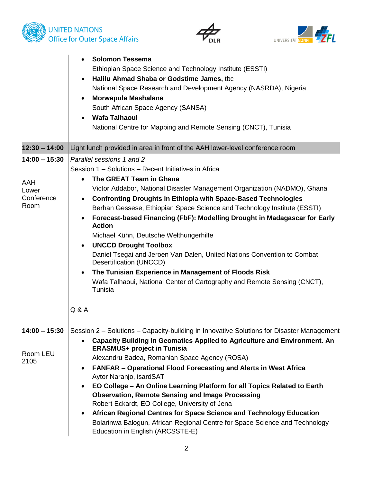





|                                                       | <b>Solomon Tessema</b><br>$\bullet$<br>Ethiopian Space Science and Technology Institute (ESSTI)<br>Halilu Ahmad Shaba or Godstime James, tbc<br>$\bullet$<br>National Space Research and Development Agency (NASRDA), Nigeria<br><b>Morwapula Mashalane</b><br>$\bullet$<br>South African Space Agency (SANSA)<br><b>Wafa Talhaoui</b><br>$\bullet$<br>National Centre for Mapping and Remote Sensing (CNCT), Tunisia                                                                                                                                                                                                                                                                                                                                                                                                                       |
|-------------------------------------------------------|---------------------------------------------------------------------------------------------------------------------------------------------------------------------------------------------------------------------------------------------------------------------------------------------------------------------------------------------------------------------------------------------------------------------------------------------------------------------------------------------------------------------------------------------------------------------------------------------------------------------------------------------------------------------------------------------------------------------------------------------------------------------------------------------------------------------------------------------|
| $12:30 - 14:00$                                       | Light lunch provided in area in front of the AAH lower-level conference room                                                                                                                                                                                                                                                                                                                                                                                                                                                                                                                                                                                                                                                                                                                                                                |
| $14:00 - 15:30$<br>AAH<br>Lower<br>Conference<br>Room | Parallel sessions 1 and 2<br>Session 1 - Solutions - Recent Initiatives in Africa<br>The GREAT Team in Ghana<br>$\bullet$<br>Victor Addabor, National Disaster Management Organization (NADMO), Ghana<br><b>Confronting Droughts in Ethiopia with Space-Based Technologies</b><br>$\bullet$<br>Berhan Gessese, Ethiopian Space Science and Technology Institute (ESSTI)<br>Forecast-based Financing (FbF): Modelling Drought in Madagascar for Early<br>$\bullet$<br><b>Action</b><br>Michael Kühn, Deutsche Welthungerhilfe<br><b>UNCCD Drought Toolbox</b><br>$\bullet$<br>Daniel Tsegai and Jeroen Van Dalen, United Nations Convention to Combat<br>Desertification (UNCCD)<br>The Tunisian Experience in Management of Floods Risk<br>$\bullet$<br>Wafa Talhaoui, National Center of Cartography and Remote Sensing (CNCT),<br>Tunisia |
|                                                       | Q & A                                                                                                                                                                                                                                                                                                                                                                                                                                                                                                                                                                                                                                                                                                                                                                                                                                       |
| $14:00 - 15:30$<br>Room LEU<br>2105                   | Session 2 – Solutions – Capacity-building in Innovative Solutions for Disaster Management<br>Capacity Building in Geomatics Applied to Agriculture and Environment. An<br>$\bullet$<br><b>ERASMUS+ project in Tunisia</b><br>Alexandru Badea, Romanian Space Agency (ROSA)<br><b>FANFAR - Operational Flood Forecasting and Alerts in West Africa</b><br>$\bullet$<br>Aytor Naranjo, isardSAT<br>EO College - An Online Learning Platform for all Topics Related to Earth<br>$\bullet$<br><b>Observation, Remote Sensing and Image Processing</b><br>Robert Eckardt, EO College, University of Jena<br>African Regional Centres for Space Science and Technology Education<br>٠<br>Bolarinwa Balogun, African Regional Centre for Space Science and Technology<br>Education in English (ARCSSTE-E)                                          |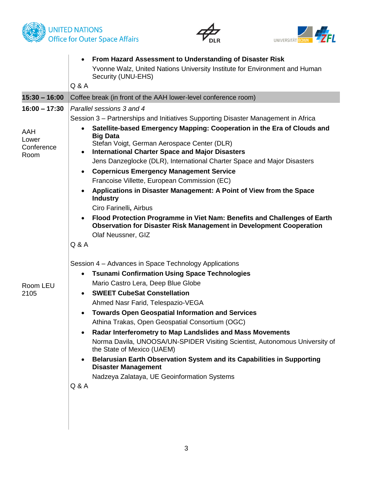



|                                                       | From Hazard Assessment to Understanding of Disaster Risk<br>$\bullet$<br>Yvonne Walz, United Nations University Institute for Environment and Human<br>Security (UNU-EHS)<br>Q & A                                                                                                                                                                                                                                                                                                                                                                                                                                                                                                                                                                                                                                                                         |
|-------------------------------------------------------|------------------------------------------------------------------------------------------------------------------------------------------------------------------------------------------------------------------------------------------------------------------------------------------------------------------------------------------------------------------------------------------------------------------------------------------------------------------------------------------------------------------------------------------------------------------------------------------------------------------------------------------------------------------------------------------------------------------------------------------------------------------------------------------------------------------------------------------------------------|
| $15:30 - 16:00$                                       | Coffee break (in front of the AAH lower-level conference room)                                                                                                                                                                                                                                                                                                                                                                                                                                                                                                                                                                                                                                                                                                                                                                                             |
| $16:00 - 17:30$<br>AAH<br>Lower<br>Conference<br>Room | Parallel sessions 3 and 4<br>Session 3 – Partnerships and Initiatives Supporting Disaster Management in Africa<br>Satellite-based Emergency Mapping: Cooperation in the Era of Clouds and<br>$\bullet$<br><b>Big Data</b><br>Stefan Voigt, German Aerospace Center (DLR)<br><b>International Charter Space and Major Disasters</b><br>$\bullet$<br>Jens Danzeglocke (DLR), International Charter Space and Major Disasters<br><b>Copernicus Emergency Management Service</b><br>Francoise Villette, European Commission (EC)<br>Applications in Disaster Management: A Point of View from the Space<br>$\bullet$<br><b>Industry</b><br>Ciro Farinelli, Airbus<br>Flood Protection Programme in Viet Nam: Benefits and Challenges of Earth<br>$\bullet$<br><b>Observation for Disaster Risk Management in Development Cooperation</b><br>Olaf Neussner, GIZ |
| Room LEU<br>2105                                      | Q & A<br>Session 4 – Advances in Space Technology Applications<br><b>Tsunami Confirmation Using Space Technologies</b><br>$\bullet$<br>Mario Castro Lera, Deep Blue Globe<br><b>SWEET CubeSat Constellation</b><br>$\bullet$<br>Ahmed Nasr Farid, Telespazio-VEGA<br><b>Towards Open Geospatial Information and Services</b><br>Athina Trakas, Open Geospatial Consortium (OGC)<br>Radar Interferometry to Map Landslides and Mass Movements<br>٠<br>Norma Davila, UNOOSA/UN-SPIDER Visiting Scientist, Autonomous University of<br>the State of Mexico (UAEM)<br>Belarusian Earth Observation System and its Capabilities in Supporting<br>$\bullet$<br><b>Disaster Management</b><br>Nadzeya Zalataya, UE Geoinformation Systems<br>Q & A                                                                                                                |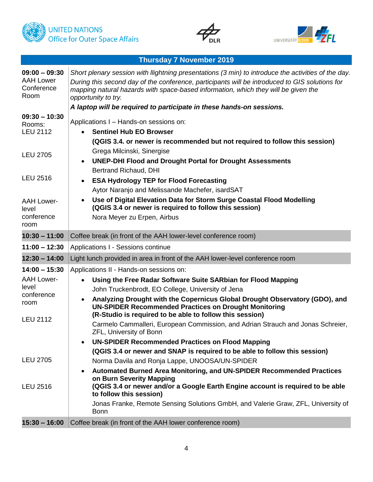





|                                                           | <b>Thursday 7 November 2019</b>                                                                                                                                                                                                                                                                                    |
|-----------------------------------------------------------|--------------------------------------------------------------------------------------------------------------------------------------------------------------------------------------------------------------------------------------------------------------------------------------------------------------------|
| $09:00 - 09:30$<br><b>AAH Lower</b><br>Conference<br>Room | Short plenary session with llightning presentations (3 min) to introduce the activities of the day.<br>During this second day of the conference, participants will be introduced to GIS solutions for<br>mapping natural hazards with space-based information, which they will be given the<br>opportunity to try. |
| $09:30 - 10:30$                                           | A laptop will be required to participate in these hands-on sessions.                                                                                                                                                                                                                                               |
| Rooms:<br><b>LEU 2112</b>                                 | Applications I - Hands-on sessions on:<br><b>Sentinel Hub EO Browser</b><br>(QGIS 3.4. or newer is recommended but not required to follow this session)                                                                                                                                                            |
| <b>LEU 2705</b>                                           | Grega Milcinski, Sinergise<br><b>UNEP-DHI Flood and Drought Portal for Drought Assessments</b>                                                                                                                                                                                                                     |
| <b>LEU 2516</b>                                           | <b>Bertrand Richaud, DHI</b><br><b>ESA Hydrology TEP for Flood Forecasting</b><br>$\bullet$<br>Aytor Naranjo and Melissande Machefer, isardSAT                                                                                                                                                                     |
| <b>AAH Lower-</b><br>level<br>conference<br>room          | Use of Digital Elevation Data for Storm Surge Coastal Flood Modelling<br>(QGIS 3.4 or newer is required to follow this session)<br>Nora Meyer zu Erpen, Airbus                                                                                                                                                     |
| $10:30 - 11:00$                                           | Coffee break (in front of the AAH lower-level conference room)                                                                                                                                                                                                                                                     |
| $11:00 - 12:30$                                           | Applications I - Sessions continue                                                                                                                                                                                                                                                                                 |
| $12:30 - 14:00$                                           | Light lunch provided in area in front of the AAH lower-level conference room                                                                                                                                                                                                                                       |
| $14:00 - 15:30$                                           | Applications II - Hands-on sessions on:                                                                                                                                                                                                                                                                            |
| <b>AAH Lower-</b><br>level<br>conference<br>room          | Using the Free Radar Software Suite SARbian for Flood Mapping<br>John Truckenbrodt, EO College, University of Jena<br>Analyzing Drought with the Copernicus Global Drought Observatory (GDO), and<br><b>UN-SPIDER Recommended Practices on Drought Monitoring</b>                                                  |
| <b>LEU 2112</b>                                           | (R-Studio is required to be able to follow this session)<br>Carmelo Cammalleri, European Commission, and Adrian Strauch and Jonas Schreier,<br><b>ZFL, University of Bonn</b><br><b>UN-SPIDER Recommended Practices on Flood Mapping</b>                                                                           |
|                                                           | (QGIS 3.4 or newer and SNAP is required to be able to follow this session)                                                                                                                                                                                                                                         |
| <b>LEU 2705</b><br><b>LEU 2516</b>                        | Norma Davila and Ronja Lappe, UNOOSA/UN-SPIDER<br>Automated Burned Area Monitoring, and UN-SPIDER Recommended Practices<br>on Burn Severity Mapping<br>(QGIS 3.4 or newer and/or a Google Earth Engine account is required to be able                                                                              |
|                                                           | to follow this session)                                                                                                                                                                                                                                                                                            |
|                                                           | Jonas Franke, Remote Sensing Solutions GmbH, and Valerie Graw, ZFL, University of<br><b>Bonn</b>                                                                                                                                                                                                                   |
| $15:30 - 16:00$                                           | Coffee break (in front of the AAH lower conference room)                                                                                                                                                                                                                                                           |